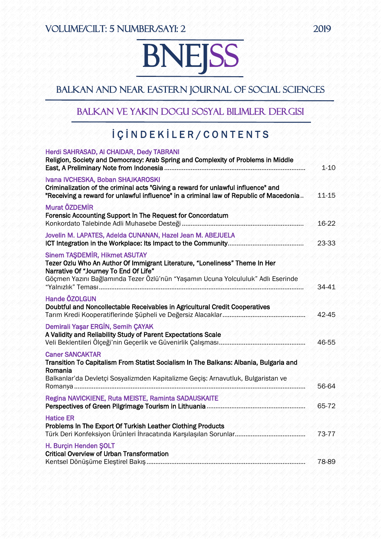# **BNEISS** i<br>K

## Balkan and Near Eastern Journal of Social Sciences

### Balkan ve Yakın Dogu Sosyal Bilimler Dergisi

# İ Ç İ N D E K İ L E R / C O N T E N T S

| Herdi SAHRASAD, AI CHAIDAR, Dedy TABRANI<br>Religion, Society and Democracy: Arab Spring and Complexity of Problems in Middle                                                                                                                    | $1 - 10$ |
|--------------------------------------------------------------------------------------------------------------------------------------------------------------------------------------------------------------------------------------------------|----------|
| Ivana IVCHESKA, Boban SHAJKAROSKI<br>Criminalization of the criminal acts "Giving a reward for unlawful influence" and<br>"Receiving a reward for unlawful influence" in a criminal law of Republic of Macedonia                                 | 11-15    |
| Murat ÖZDEMİR<br>Forensic Accounting Support In The Request for Concordatum                                                                                                                                                                      | 16-22    |
| Jovelin M. LAPATES, Adelda CUNANAN, Hazel Jean M. ABEJUELA                                                                                                                                                                                       | 23-33    |
| <b>Sinem TAŞDEMİR, Hikmet ASUTAY</b><br>Tezer Ozlu Who An Author Of Immigrant Literature, "Loneliness" Theme In Her<br>Narrative Of "Journey To End Of Life"<br>Göçmen Yazını Bağlamında Tezer Özlü'nün "Yaşamın Ucuna Yolcululuk" Adlı Eserinde | 34-41    |
| <b>Hande ÖZOLGUN</b><br>Doubtful and Noncollectable Receivables in Agricultural Credit Cooperatives                                                                                                                                              | 42-45    |
| Demirali Yaşar ERGİN, Semih ÇAYAK<br>In The Institute The Institute of<br>A Validity and Reliability Study of Parent Expectations Scale                                                                                                          | 46-55    |
| <b>Caner SANCAKTAR</b><br>Transition To Capitalism From Statist Socialism In The Balkans: Albania, Bulgaria and<br>Romania                                                                                                                       |          |
| Balkanlar'da Devletçi Sosyalizmden Kapitalizme Geçiş: Arnavutluk, Bulgaristan ve                                                                                                                                                                 | 56-64    |
| Regina NAVICKIENE, Ruta MEISTE, Raminta SADAUSKAITE                                                                                                                                                                                              | 65-72    |
| <b>Hatice ER</b><br>Problems In The Export Of Turkish Leather Clothing Products                                                                                                                                                                  | 73-77    |
| H. Burçin Henden ŞOLT<br><b>Critical Overview of Urban Transformation</b>                                                                                                                                                                        | 78-89    |